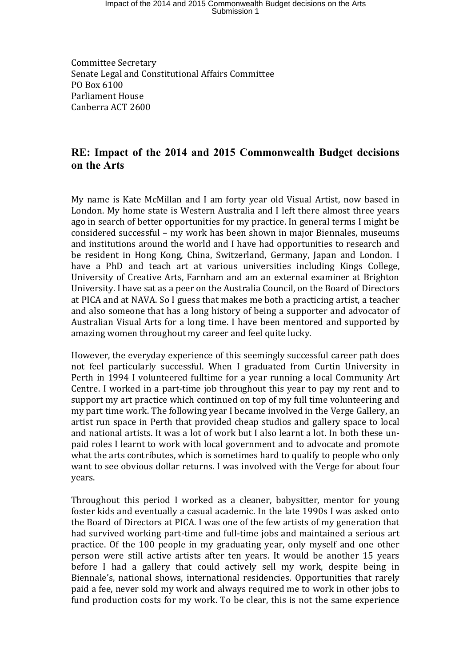## Impact of the 2014 and 2015 Commonwealth Budget decisions on the Arts Submission 1

Committee Secretary Senate Legal and Constitutional Affairs Committee PO Box 6100 Parliament House Canberra ACT 2600

## **RE: Impact of the 2014 and 2015 Commonwealth Budget decisions on the Arts**

My name is Kate McMillan and I am forty year old Visual Artist, now based in London. My home state is Western Australia and I left there almost three years ago in search of better opportunities for my practice. In general terms I might be considered successful – my work has been shown in major Biennales, museums and institutions around the world and I have had opportunities to research and be resident in Hong Kong, China, Switzerland, Germany, Japan and London. I have a PhD and teach art at various universities including Kings College, University of Creative Arts, Farnham and am an external examiner at Brighton University. I have sat as a peer on the Australia Council, on the Board of Directors at PICA and at NAVA. So I guess that makes me both a practicing artist, a teacher and also someone that has a long history of being a supporter and advocator of Australian Visual Arts for a long time. I have been mentored and supported by amazing women throughout my career and feel quite lucky.

However, the everyday experience of this seemingly successful career path does not feel particularly successful. When I graduated from Curtin University in Perth in 1994 I volunteered fulltime for a year running a local Community Art Centre. I worked in a part-time job throughout this year to pay my rent and to support my art practice which continued on top of my full time volunteering and my part time work. The following year I became involved in the Verge Gallery, an artist run space in Perth that provided cheap studios and gallery space to local and national artists. It was a lot of work but I also learnt a lot. In both these unpaid roles I learnt to work with local government and to advocate and promote what the arts contributes, which is sometimes hard to qualify to people who only want to see obvious dollar returns. I was involved with the Verge for about four years.

Throughout this period I worked as a cleaner, babysitter, mentor for young foster kids and eventually a casual academic. In the late 1990s I was asked onto the Board of Directors at PICA. I was one of the few artists of my generation that had survived working part-time and full-time jobs and maintained a serious art practice. Of the 100 people in my graduating year, only myself and one other person were still active artists after ten years. It would be another 15 years before I had a gallery that could actively sell my work, despite being in Biennale's, national shows, international residencies. Opportunities that rarely paid a fee, never sold my work and always required me to work in other jobs to fund production costs for my work. To be clear, this is not the same experience